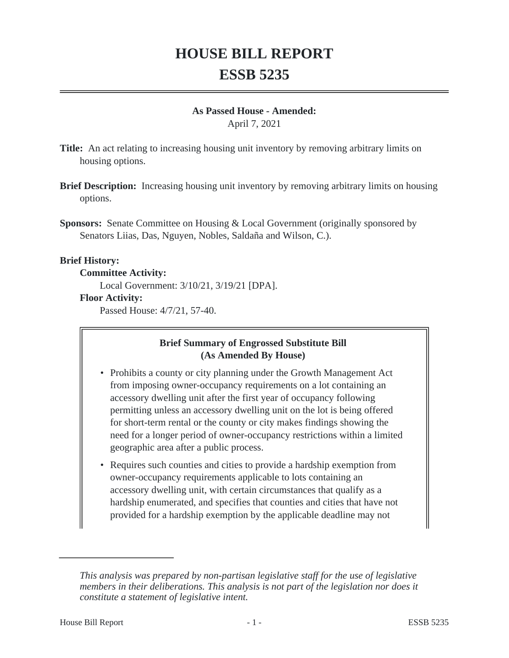# **HOUSE BILL REPORT ESSB 5235**

#### **As Passed House - Amended:**

April 7, 2021

- **Title:** An act relating to increasing housing unit inventory by removing arbitrary limits on housing options.
- **Brief Description:** Increasing housing unit inventory by removing arbitrary limits on housing options.
- **Sponsors:** Senate Committee on Housing & Local Government (originally sponsored by Senators Liias, Das, Nguyen, Nobles, Saldaña and Wilson, C.).

#### **Brief History:**

**Committee Activity:**

Local Government: 3/10/21, 3/19/21 [DPA].

#### **Floor Activity:**

Passed House: 4/7/21, 57-40.

### **Brief Summary of Engrossed Substitute Bill (As Amended By House)**

- Prohibits a county or city planning under the Growth Management Act from imposing owner-occupancy requirements on a lot containing an accessory dwelling unit after the first year of occupancy following permitting unless an accessory dwelling unit on the lot is being offered for short-term rental or the county or city makes findings showing the need for a longer period of owner-occupancy restrictions within a limited geographic area after a public process.
- Requires such counties and cities to provide a hardship exemption from owner-occupancy requirements applicable to lots containing an accessory dwelling unit, with certain circumstances that qualify as a hardship enumerated, and specifies that counties and cities that have not provided for a hardship exemption by the applicable deadline may not

*This analysis was prepared by non-partisan legislative staff for the use of legislative members in their deliberations. This analysis is not part of the legislation nor does it constitute a statement of legislative intent.*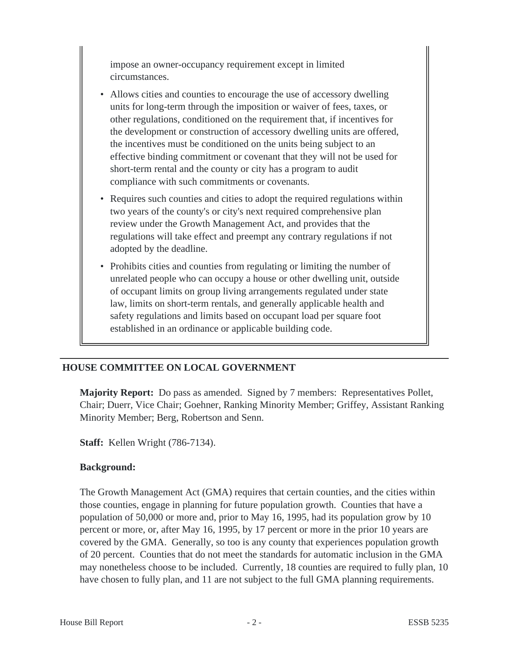impose an owner-occupancy requirement except in limited circumstances.

- Allows cities and counties to encourage the use of accessory dwelling units for long-term through the imposition or waiver of fees, taxes, or other regulations, conditioned on the requirement that, if incentives for the development or construction of accessory dwelling units are offered, the incentives must be conditioned on the units being subject to an effective binding commitment or covenant that they will not be used for short-term rental and the county or city has a program to audit compliance with such commitments or covenants.
- Requires such counties and cities to adopt the required regulations within two years of the county's or city's next required comprehensive plan review under the Growth Management Act, and provides that the regulations will take effect and preempt any contrary regulations if not adopted by the deadline.
- Prohibits cities and counties from regulating or limiting the number of unrelated people who can occupy a house or other dwelling unit, outside of occupant limits on group living arrangements regulated under state law, limits on short-term rentals, and generally applicable health and safety regulations and limits based on occupant load per square foot established in an ordinance or applicable building code.

## **HOUSE COMMITTEE ON LOCAL GOVERNMENT**

**Majority Report:** Do pass as amended. Signed by 7 members: Representatives Pollet, Chair; Duerr, Vice Chair; Goehner, Ranking Minority Member; Griffey, Assistant Ranking Minority Member; Berg, Robertson and Senn.

**Staff:** Kellen Wright (786-7134).

### **Background:**

The Growth Management Act (GMA) requires that certain counties, and the cities within those counties, engage in planning for future population growth. Counties that have a population of 50,000 or more and, prior to May 16, 1995, had its population grow by 10 percent or more, or, after May 16, 1995, by 17 percent or more in the prior 10 years are covered by the GMA. Generally, so too is any county that experiences population growth of 20 percent. Counties that do not meet the standards for automatic inclusion in the GMA may nonetheless choose to be included. Currently, 18 counties are required to fully plan, 10 have chosen to fully plan, and 11 are not subject to the full GMA planning requirements.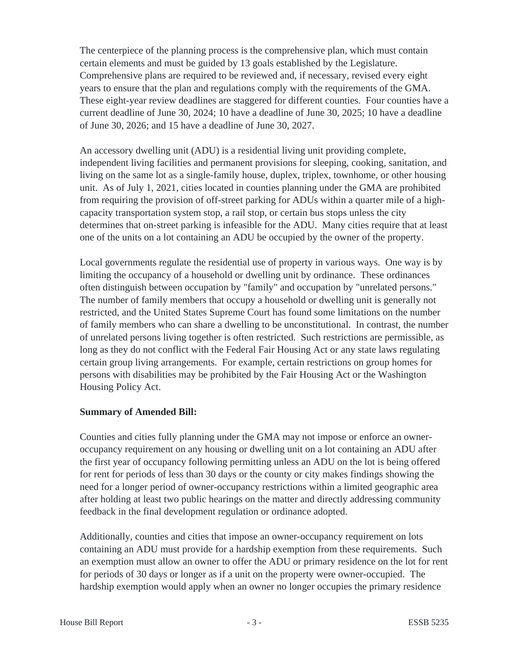The centerpiece of the planning process is the comprehensive plan, which must contain certain elements and must be guided by 13 goals established by the Legislature. Comprehensive plans are required to be reviewed and, if necessary, revised every eight years to ensure that the plan and regulations comply with the requirements of the GMA. These eight-year review deadlines are staggered for different counties. Four counties have a current deadline of June 30, 2024; 10 have a deadline of June 30, 2025; 10 have a deadline of June 30, 2026; and 15 have a deadline of June 30, 2027.

An accessory dwelling unit (ADU) is a residential living unit providing complete, independent living facilities and permanent provisions for sleeping, cooking, sanitation, and living on the same lot as a single-family house, duplex, triplex, townhome, or other housing unit. As of July 1, 2021, cities located in counties planning under the GMA are prohibited from requiring the provision of off-street parking for ADUs within a quarter mile of a highcapacity transportation system stop, a rail stop, or certain bus stops unless the city determines that on-street parking is infeasible for the ADU. Many cities require that at least one of the units on a lot containing an ADU be occupied by the owner of the property.

Local governments regulate the residential use of property in various ways. One way is by limiting the occupancy of a household or dwelling unit by ordinance. These ordinances often distinguish between occupation by "family" and occupation by "unrelated persons." The number of family members that occupy a household or dwelling unit is generally not restricted, and the United States Supreme Court has found some limitations on the number of family members who can share a dwelling to be unconstitutional. In contrast, the number of unrelated persons living together is often restricted. Such restrictions are permissible, as long as they do not conflict with the Federal Fair Housing Act or any state laws regulating certain group living arrangements. For example, certain restrictions on group homes for persons with disabilities may be prohibited by the Fair Housing Act or the Washington Housing Policy Act.

### **Summary of Amended Bill:**

Counties and cities fully planning under the GMA may not impose or enforce an owneroccupancy requirement on any housing or dwelling unit on a lot containing an ADU after the first year of occupancy following permitting unless an ADU on the lot is being offered for rent for periods of less than 30 days or the county or city makes findings showing the need for a longer period of owner-occupancy restrictions within a limited geographic area after holding at least two public hearings on the matter and directly addressing community feedback in the final development regulation or ordinance adopted.

Additionally, counties and cities that impose an owner-occupancy requirement on lots containing an ADU must provide for a hardship exemption from these requirements. Such an exemption must allow an owner to offer the ADU or primary residence on the lot for rent for periods of 30 days or longer as if a unit on the property were owner-occupied. The hardship exemption would apply when an owner no longer occupies the primary residence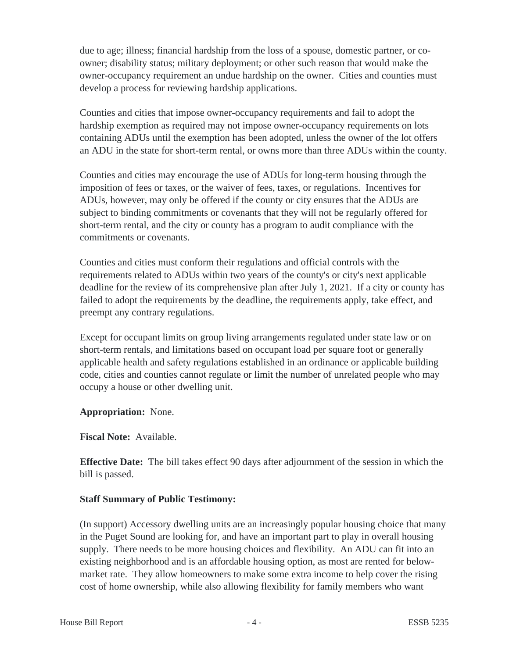due to age; illness; financial hardship from the loss of a spouse, domestic partner, or coowner; disability status; military deployment; or other such reason that would make the owner-occupancy requirement an undue hardship on the owner. Cities and counties must develop a process for reviewing hardship applications.

Counties and cities that impose owner-occupancy requirements and fail to adopt the hardship exemption as required may not impose owner-occupancy requirements on lots containing ADUs until the exemption has been adopted, unless the owner of the lot offers an ADU in the state for short-term rental, or owns more than three ADUs within the county.

Counties and cities may encourage the use of ADUs for long-term housing through the imposition of fees or taxes, or the waiver of fees, taxes, or regulations. Incentives for ADUs, however, may only be offered if the county or city ensures that the ADUs are subject to binding commitments or covenants that they will not be regularly offered for short-term rental, and the city or county has a program to audit compliance with the commitments or covenants.

Counties and cities must conform their regulations and official controls with the requirements related to ADUs within two years of the county's or city's next applicable deadline for the review of its comprehensive plan after July 1, 2021. If a city or county has failed to adopt the requirements by the deadline, the requirements apply, take effect, and preempt any contrary regulations.

Except for occupant limits on group living arrangements regulated under state law or on short-term rentals, and limitations based on occupant load per square foot or generally applicable health and safety regulations established in an ordinance or applicable building code, cities and counties cannot regulate or limit the number of unrelated people who may occupy a house or other dwelling unit.

**Appropriation:** None.

**Fiscal Note:** Available.

**Effective Date:** The bill takes effect 90 days after adjournment of the session in which the bill is passed.

## **Staff Summary of Public Testimony:**

(In support) Accessory dwelling units are an increasingly popular housing choice that many in the Puget Sound are looking for, and have an important part to play in overall housing supply. There needs to be more housing choices and flexibility. An ADU can fit into an existing neighborhood and is an affordable housing option, as most are rented for belowmarket rate. They allow homeowners to make some extra income to help cover the rising cost of home ownership, while also allowing flexibility for family members who want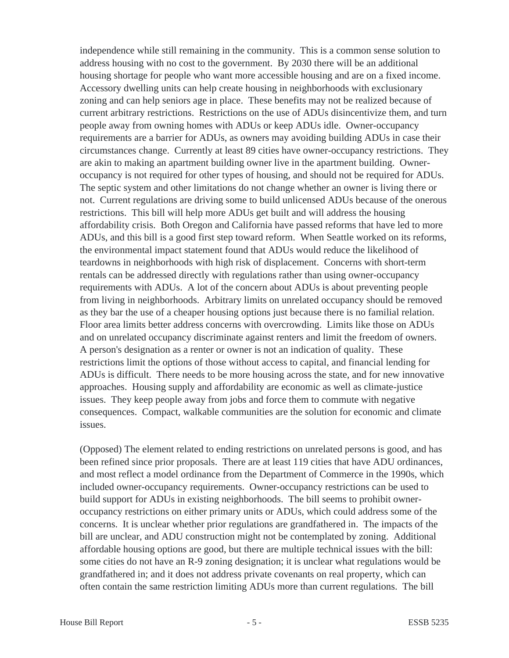independence while still remaining in the community. This is a common sense solution to address housing with no cost to the government. By 2030 there will be an additional housing shortage for people who want more accessible housing and are on a fixed income. Accessory dwelling units can help create housing in neighborhoods with exclusionary zoning and can help seniors age in place. These benefits may not be realized because of current arbitrary restrictions. Restrictions on the use of ADUs disincentivize them, and turn people away from owning homes with ADUs or keep ADUs idle. Owner-occupancy requirements are a barrier for ADUs, as owners may avoiding building ADUs in case their circumstances change. Currently at least 89 cities have owner-occupancy restrictions. They are akin to making an apartment building owner live in the apartment building. Owneroccupancy is not required for other types of housing, and should not be required for ADUs. The septic system and other limitations do not change whether an owner is living there or not. Current regulations are driving some to build unlicensed ADUs because of the onerous restrictions. This bill will help more ADUs get built and will address the housing affordability crisis. Both Oregon and California have passed reforms that have led to more ADUs, and this bill is a good first step toward reform. When Seattle worked on its reforms, the environmental impact statement found that ADUs would reduce the likelihood of teardowns in neighborhoods with high risk of displacement. Concerns with short-term rentals can be addressed directly with regulations rather than using owner-occupancy requirements with ADUs. A lot of the concern about ADUs is about preventing people from living in neighborhoods. Arbitrary limits on unrelated occupancy should be removed as they bar the use of a cheaper housing options just because there is no familial relation. Floor area limits better address concerns with overcrowding. Limits like those on ADUs and on unrelated occupancy discriminate against renters and limit the freedom of owners. A person's designation as a renter or owner is not an indication of quality. These restrictions limit the options of those without access to capital, and financial lending for ADUs is difficult. There needs to be more housing across the state, and for new innovative approaches. Housing supply and affordability are economic as well as climate-justice issues. They keep people away from jobs and force them to commute with negative consequences. Compact, walkable communities are the solution for economic and climate issues.

(Opposed) The element related to ending restrictions on unrelated persons is good, and has been refined since prior proposals. There are at least 119 cities that have ADU ordinances, and most reflect a model ordinance from the Department of Commerce in the 1990s, which included owner-occupancy requirements. Owner-occupancy restrictions can be used to build support for ADUs in existing neighborhoods. The bill seems to prohibit owneroccupancy restrictions on either primary units or ADUs, which could address some of the concerns. It is unclear whether prior regulations are grandfathered in. The impacts of the bill are unclear, and ADU construction might not be contemplated by zoning. Additional affordable housing options are good, but there are multiple technical issues with the bill: some cities do not have an R-9 zoning designation; it is unclear what regulations would be grandfathered in; and it does not address private covenants on real property, which can often contain the same restriction limiting ADUs more than current regulations. The bill